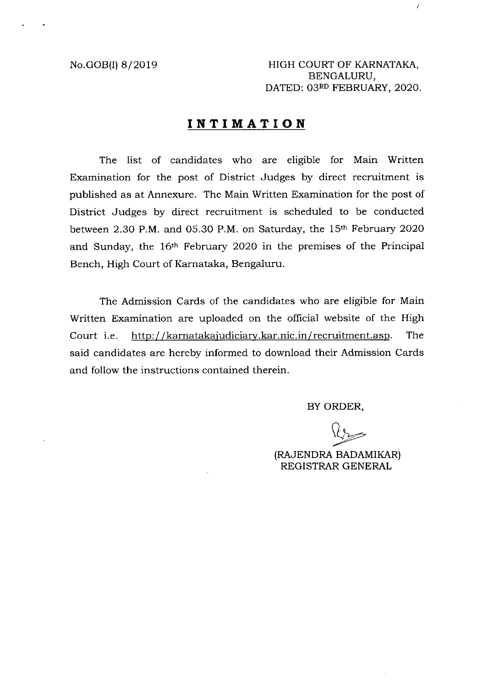No.GOB(I) 8/2019 HIGH COURT OF KARNATAKA, BENGALURU, DATED: 03RD FEBRUARY, 2020.

X

## **INTIMATION**

The list of candidates who are eligible for Main Written Examination for the post of District Judges by direct recruitment is published as at Annexure. The Main Written Examination for the post of District Judges by direct recruitment is scheduled to be conducted between 2.30 P.M. and 05.30 P.M. on Saturday, the 15th February 2020 and Sunday, the 16th February 2020 in the premises of the Principal Bench, High Court of Karnataka, Bengaluru.

The Admission Cards of the candidates who are eligible for Main Written Examination are uploaded on the official website of the High Court i.e. http://karnatakajudiciary.kar.nic.in/recruitment.asp. The said candidates are hereby informed to download their Admission Cards and follow the instructions contained therein.

BY ORDER,

(RAJENDRA BADAMIKAR) REGISTRAR GENERAL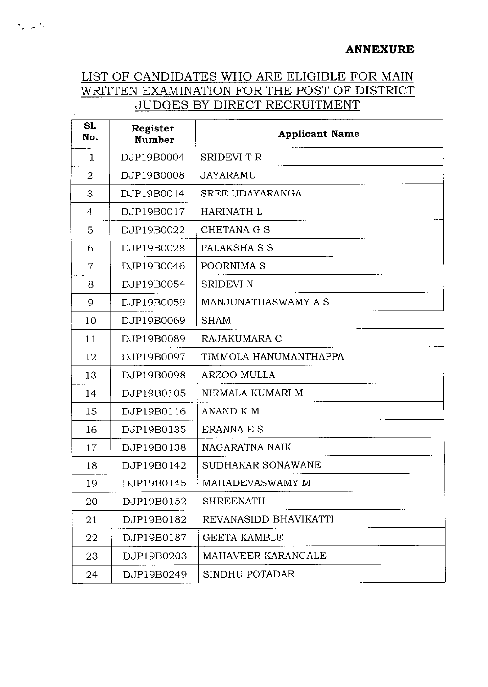## **ANNEXURE**

## LIST OF CANDIDATES WHO ARE ELIGIBLE FOR MAIN WRITTEN EXAMINATION FOR THE POST OF DISTRICT JUDGES BY DIRECT RECRUITMENT

 $\mathcal{F}_\mathrm{eff}$  ,  $\mathcal{F}_\mathrm{eff}$ 

 $\mathcal{L}^{\pm}$ 

| Sl.<br>No.   | Register<br><b>Number</b> | <b>Applicant Name</b>  |
|--------------|---------------------------|------------------------|
| $\mathbf{1}$ | DJP19B0004                | SRIDEVI T R            |
| 2            | DJP19B0008                | JAYARAMU               |
| 3            | DJP19B0014                | <b>SREE UDAYARANGA</b> |
| 4            | DJP19B0017                | <b>HARINATH L</b>      |
| 5            | DJP19B0022                | CHETANA G S            |
| 6            | DJP19B0028                | PALAKSHA S S           |
| 7            | DJP19B0046                | POORNIMA S             |
| 8            | DJP19B0054                | <b>SRIDEVI N</b>       |
| 9            | DJP19B0059                | MANJUNATHASWAMY A S    |
| 10           | DJP19B0069                | <b>SHAM</b>            |
| 11           | DJP19B0089                | RAJAKUMARA C           |
| 12           | DJP19B0097                | TIMMOLA HANUMANTHAPPA  |
| 13           | DJP19B0098                | <b>ARZOO MULLA</b>     |
| 14           | DJP19B0105                | NIRMALA KUMARI M       |
| 15           | DJP19B0116                | ANAND K M              |
| 16           | DJP19B0135                | <b>ERANNA E S</b>      |
| 17           | DJP19B0138                | NAGARATNA NAIK         |
| 18           | DJP19B0142                | SUDHAKAR SONAWANE      |
| 19           | DJP19B0145                | MAHADEVASWAMY M        |
| 20           | DJP19B0152                | <b>SHREENATH</b>       |
| 21           | DJP19B0182                | REVANASIDD BHAVIKATTI  |
| 22           | DJP19B0187                | <b>GEETA KAMBLE</b>    |
| 23           | DJP19B0203                | MAHAVEER KARANGALE     |
| 24           | DJP19B0249                | SINDHU POTADAR         |